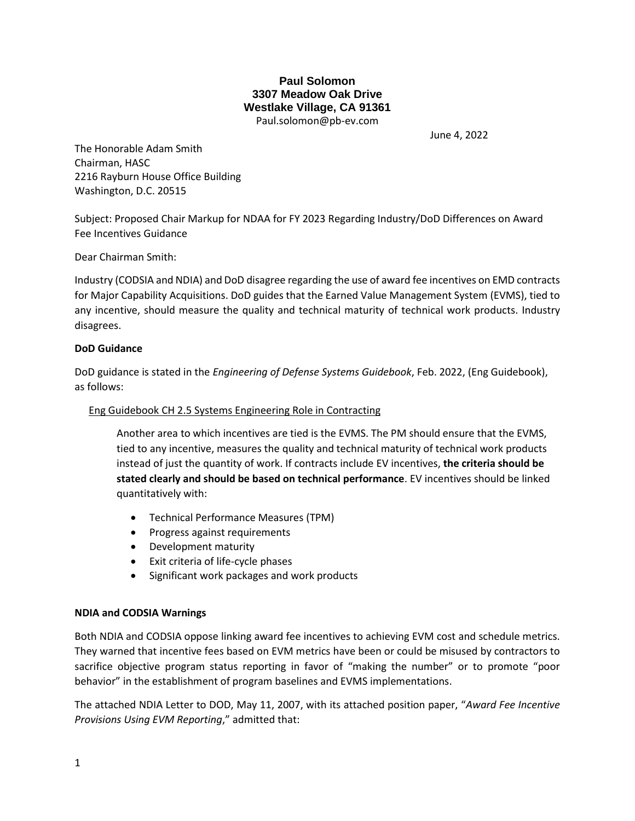# **Paul Solomon 3307 Meadow Oak Drive Westlake Village, CA 91361** Paul.solomon@pb-ev.com

June 4, 2022

The Honorable Adam Smith Chairman, HASC 2216 Rayburn House Office Building Washington, D.C. 20515

Subject: Proposed Chair Markup for NDAA for FY 2023 Regarding Industry/DoD Differences on Award Fee Incentives Guidance

Dear Chairman Smith:

Industry (CODSIA and NDIA) and DoD disagree regarding the use of award fee incentives on EMD contracts for Major Capability Acquisitions. DoD guides that the Earned Value Management System (EVMS), tied to any incentive, should measure the quality and technical maturity of technical work products. Industry disagrees.

## **DoD Guidance**

DoD guidance is stated in the *Engineering of Defense Systems Guidebook*, Feb. 2022, (Eng Guidebook), as follows:

# Eng Guidebook CH 2.5 Systems Engineering Role in Contracting

Another area to which incentives are tied is the EVMS. The PM should ensure that the EVMS, tied to any incentive, measures the quality and technical maturity of technical work products instead of just the quantity of work. If contracts include EV incentives, **the criteria should be stated clearly and should be based on technical performance**. EV incentives should be linked quantitatively with:

- Technical Performance Measures (TPM)
- Progress against requirements
- Development maturity
- Exit criteria of life-cycle phases
- Significant work packages and work products

## **NDIA and CODSIA Warnings**

Both NDIA and CODSIA oppose linking award fee incentives to achieving EVM cost and schedule metrics. They warned that incentive fees based on EVM metrics have been or could be misused by contractors to sacrifice objective program status reporting in favor of "making the number" or to promote "poor behavior" in the establishment of program baselines and EVMS implementations.

The attached NDIA Letter to DOD, May 11, 2007, with its attached position paper, "*Award Fee Incentive Provisions Using EVM Reporting*," admitted that: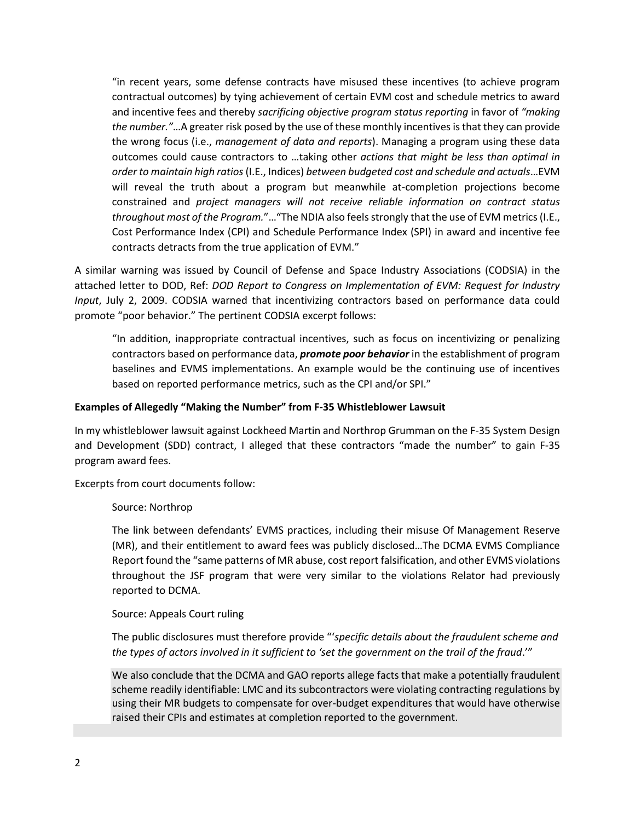"in recent years, some defense contracts have misused these incentives (to achieve program contractual outcomes) by tying achievement of certain EVM cost and schedule metrics to award and incentive fees and thereby *sacrificing objective program status reporting* in favor of *"making the number."*…A greater risk posed by the use of these monthly incentives is that they can provide the wrong focus (i.e., *management of data and reports*). Managing a program using these data outcomes could cause contractors to …taking other *actions that might be less than optimal in order to maintain high ratios* (I.E., Indices) *between budgeted cost and schedule and actuals*…EVM will reveal the truth about a program but meanwhile at-completion projections become constrained and *project managers will not receive reliable information on contract status throughout most of the Program.*"…"The NDIA also feels strongly that the use of EVM metrics (I.E., Cost Performance Index (CPI) and Schedule Performance Index (SPI) in award and incentive fee contracts detracts from the true application of EVM."

A similar warning was issued by Council of Defense and Space Industry Associations (CODSIA) in the attached letter to DOD, Ref: *DOD Report to Congress on Implementation of EVM: Request for Industry Input*, July 2, 2009. CODSIA warned that incentivizing contractors based on performance data could promote "poor behavior." The pertinent CODSIA excerpt follows:

"In addition, inappropriate contractual incentives, such as focus on incentivizing or penalizing contractors based on performance data, *promote poor behavior* in the establishment of program baselines and EVMS implementations. An example would be the continuing use of incentives based on reported performance metrics, such as the CPI and/or SPI."

### **Examples of Allegedly "Making the Number" from F-35 Whistleblower Lawsuit**

In my whistleblower lawsuit against Lockheed Martin and Northrop Grumman on the F-35 System Design and Development (SDD) contract, I alleged that these contractors "made the number" to gain F-35 program award fees.

Excerpts from court documents follow:

## Source: Northrop

The link between defendants' EVMS practices, including their misuse Of Management Reserve (MR), and their entitlement to award fees was publicly disclosed…The DCMA EVMS Compliance Report found the "same patterns of MR abuse, cost report falsification, and other EVMS violations throughout the JSF program that were very similar to the violations Relator had previously reported to DCMA.

#### Source: Appeals Court ruling

The public disclosures must therefore provide "'*specific details about the fraudulent scheme and the types of actors involved in it sufficient to 'set the government on the trail of the fraud*.'"

We also conclude that the DCMA and GAO reports allege facts that make a potentially fraudulent scheme readily identifiable: LMC and its subcontractors were violating contracting regulations by using their MR budgets to compensate for over-budget expenditures that would have otherwise raised their CPIs and estimates at completion reported to the government.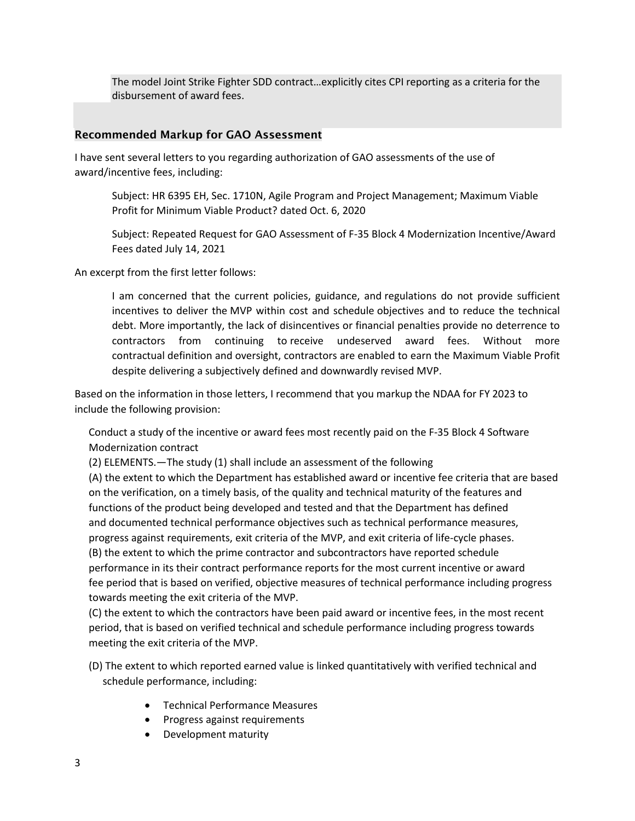The model Joint Strike Fighter SDD contract…explicitly cites CPI reporting as a criteria for the disbursement of award fees.

# Recommended Markup for GAO Assessment

I have sent several letters to you regarding authorization of GAO assessments of the use of award/incentive fees, including:

Subject: HR 6395 EH, Sec. 1710N, Agile Program and Project Management; Maximum Viable Profit for Minimum Viable Product? dated Oct. 6, 2020

Subject: Repeated Request for GAO Assessment of F-35 Block 4 Modernization Incentive/Award Fees dated July 14, 2021

An excerpt from the first letter follows:

I am concerned that the current policies, guidance, and regulations do not provide sufficient incentives to deliver the MVP within cost and schedule objectives and to reduce the technical debt. More importantly, the lack of disincentives or financial penalties provide no deterrence to contractors from continuing to receive undeserved award fees. Without more contractual definition and oversight, contractors are enabled to earn the Maximum Viable Profit despite delivering a subjectively defined and downwardly revised MVP.

Based on the information in those letters, I recommend that you markup the NDAA for FY 2023 to include the following provision:

Conduct a study of the incentive or award fees most recently paid on the F-35 Block 4 Software Modernization contract

(2) ELEMENTS.—The study (1) shall include an assessment of the following

(A) the extent to which the Department has established award or incentive fee criteria that are based on the verification, on a timely basis, of the quality and technical maturity of the features and functions of the product being developed and tested and that the Department has defined and documented technical performance objectives such as technical performance measures, progress against requirements, exit criteria of the MVP, and exit criteria of life-cycle phases. (B) the extent to which the prime contractor and subcontractors have reported schedule performance in its their contract performance reports for the most current incentive or award fee period that is based on verified, objective measures of technical performance including progress towards meeting the exit criteria of the MVP.

(C) the extent to which the contractors have been paid award or incentive fees, in the most recent period, that is based on verified technical and schedule performance including progress towards meeting the exit criteria of the MVP.

- (D) The extent to which reported earned value is linked quantitatively with verified technical and schedule performance, including:
	- Technical Performance Measures
	- Progress against requirements
	- Development maturity